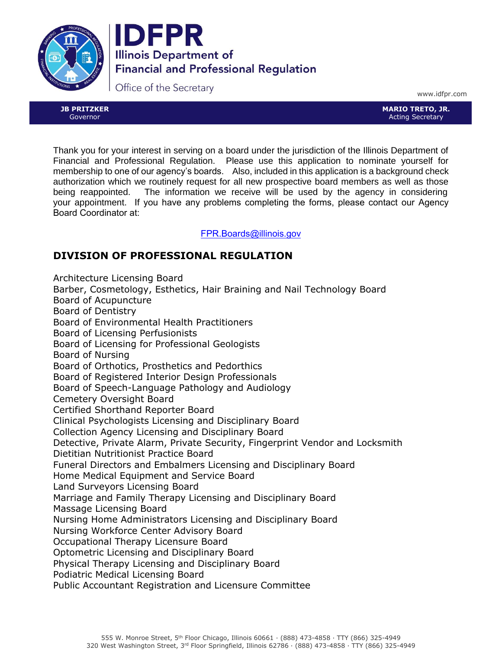



Office of the Secretary

**JB PRITZKER** Governor

www.idfpr.com

**MARIO TRETO, JR.** Acting Secretary

Thank you for your interest in serving on a board under the jurisdiction of the Illinois Department of Financial and Professional Regulation. Please use this application to nominate yourself for membership to one of our agency's boards. Also, included in this application is a background check authorization which we routinely request for all new prospective board members as well as those being reappointed. The information we receive will be used by the agency in considering your appointment. If you have any problems completing the forms, please contact our Agency Board Coordinator at:

FPR.Boards@illinois.gov

### **DIVISION OF PROFESSIONAL REGULATION**

Architecture Licensing Board Barber, Cosmetology, Esthetics, Hair Braining and Nail Technology Board Board of Acupuncture Board of Dentistry Board of Environmental Health Practitioners Board of Licensing Perfusionists Board of Licensing for Professional Geologists Board of Nursing Board of Orthotics, Prosthetics and Pedorthics Board of Registered Interior Design Professionals Board of Speech-Language Pathology and Audiology Cemetery Oversight Board Certified Shorthand Reporter Board Clinical Psychologists Licensing and Disciplinary Board Collection Agency Licensing and Disciplinary Board Detective, Private Alarm, Private Security, Fingerprint Vendor and Locksmith Dietitian Nutritionist Practice Board Funeral Directors and Embalmers Licensing and Disciplinary Board Home Medical Equipment and Service Board Land Surveyors Licensing Board Marriage and Family Therapy Licensing and Disciplinary Board Massage Licensing Board Nursing Home Administrators Licensing and Disciplinary Board Nursing Workforce Center Advisory Board Occupational Therapy Licensure Board Optometric Licensing and Disciplinary Board Physical Therapy Licensing and Disciplinary Board Podiatric Medical Licensing Board Public Accountant Registration and Licensure Committee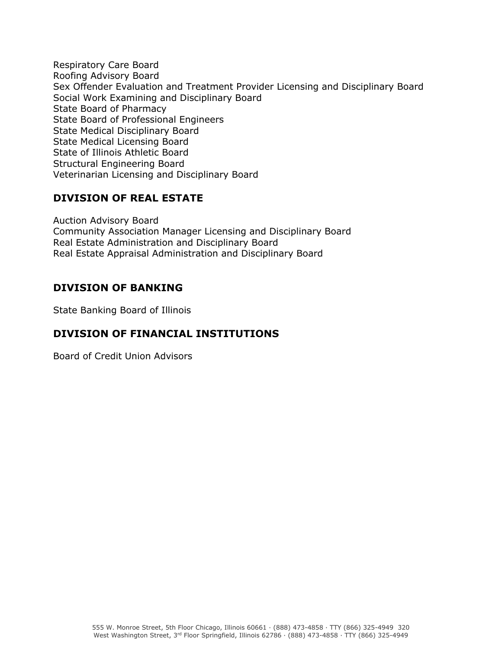Respiratory Care Board Roofing Advisory Board Sex Offender Evaluation and Treatment Provider Licensing and Disciplinary Board Social Work Examining and Disciplinary Board State Board of Pharmacy State Board of Professional Engineers State Medical Disciplinary Board State Medical Licensing Board State of Illinois Athletic Board Structural Engineering Board Veterinarian Licensing and Disciplinary Board

### **DIVISION OF REAL ESTATE**

Auction Advisory Board Community Association Manager Licensing and Disciplinary Board Real Estate Administration and Disciplinary Board Real Estate Appraisal Administration and Disciplinary Board

### **DIVISION OF BANKING**

State Banking Board of Illinois

### **DIVISION OF FINANCIAL INSTITUTIONS**

Board of Credit Union Advisors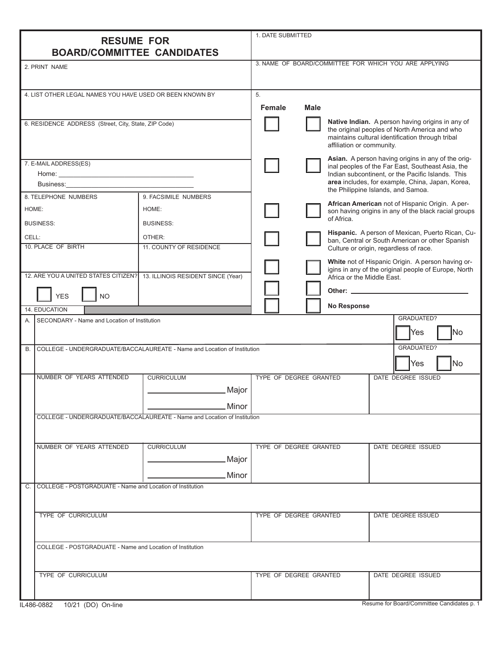|                                                                                                                                                                                                                                |                                                                          | 1. DATE SUBMITTED                            |             |                                                                                                                                                                                    |                                                                                                           |  |
|--------------------------------------------------------------------------------------------------------------------------------------------------------------------------------------------------------------------------------|--------------------------------------------------------------------------|----------------------------------------------|-------------|------------------------------------------------------------------------------------------------------------------------------------------------------------------------------------|-----------------------------------------------------------------------------------------------------------|--|
| <b>RESUME FOR</b><br><b>BOARD/COMMITTEE CANDIDATES</b>                                                                                                                                                                         |                                                                          |                                              |             |                                                                                                                                                                                    |                                                                                                           |  |
| 2. PRINT NAME                                                                                                                                                                                                                  |                                                                          |                                              |             |                                                                                                                                                                                    | 3. NAME OF BOARD/COMMITTEE FOR WHICH YOU ARE APPLYING                                                     |  |
|                                                                                                                                                                                                                                |                                                                          |                                              |             |                                                                                                                                                                                    |                                                                                                           |  |
| 4. LIST OTHER LEGAL NAMES YOU HAVE USED OR BEEN KNOWN BY                                                                                                                                                                       |                                                                          | 5.                                           |             |                                                                                                                                                                                    |                                                                                                           |  |
|                                                                                                                                                                                                                                |                                                                          | Female                                       | <b>Male</b> |                                                                                                                                                                                    |                                                                                                           |  |
| 6. RESIDENCE ADDRESS (Street, City, State, ZIP Code)                                                                                                                                                                           |                                                                          |                                              |             | Native Indian. A person having origins in any of<br>the original peoples of North America and who<br>maintains cultural identification through tribal<br>affiliation or community. |                                                                                                           |  |
| 7. E-MAIL ADDRESS(ES)                                                                                                                                                                                                          |                                                                          |                                              |             | Asian. A person having origins in any of the orig-<br>inal peoples of the Far East, Southeast Asia, the                                                                            |                                                                                                           |  |
|                                                                                                                                                                                                                                |                                                                          |                                              |             | Indian subcontinent, or the Pacific Islands. This<br>area includes, for example, China, Japan, Korea,<br>the Philippine Islands, and Samoa.                                        |                                                                                                           |  |
| Business: Electric Contract Contract Contract Contract Contract Contract Contract Contract Contract Contract Contract Contract Contract Contract Contract Contract Contract Contract Contract Contract Contract Contract Contr |                                                                          |                                              |             |                                                                                                                                                                                    |                                                                                                           |  |
| 8. TELEPHONE NUMBERS                                                                                                                                                                                                           | 9. FACSIMILE NUMBERS                                                     |                                              |             |                                                                                                                                                                                    |                                                                                                           |  |
| HOME:                                                                                                                                                                                                                          | HOME:                                                                    |                                              |             | of Africa.                                                                                                                                                                         | African American not of Hispanic Origin. A per-<br>son having origins in any of the black racial groups   |  |
| <b>BUSINESS:</b>                                                                                                                                                                                                               | <b>BUSINESS:</b>                                                         |                                              |             | Hispanic. A person of Mexican, Puerto Rican, Cu-                                                                                                                                   |                                                                                                           |  |
| CELL:<br>10. PLACE OF BIRTH                                                                                                                                                                                                    | OTHER:<br>11. COUNTY OF RESIDENCE                                        |                                              |             |                                                                                                                                                                                    | ban, Central or South American or other Spanish<br>Culture or origin, regardless of race.                 |  |
| 12. ARE YOU A UNITED STATES CITIZEN? 13. ILLINOIS RESIDENT SINCE (Year)                                                                                                                                                        |                                                                          |                                              |             |                                                                                                                                                                                    | White not of Hispanic Origin. A person having or-<br>igins in any of the original people of Europe, North |  |
|                                                                                                                                                                                                                                |                                                                          |                                              |             | Africa or the Middle East.                                                                                                                                                         |                                                                                                           |  |
| <b>YES</b><br><b>NO</b>                                                                                                                                                                                                        |                                                                          |                                              |             |                                                                                                                                                                                    |                                                                                                           |  |
| 14. EDUCATION                                                                                                                                                                                                                  |                                                                          |                                              |             | <b>No Response</b>                                                                                                                                                                 |                                                                                                           |  |
| SECONDARY - Name and Location of Institution<br>A.                                                                                                                                                                             |                                                                          |                                              |             |                                                                                                                                                                                    | GRADUATED?<br><b>Yes</b><br>lNo                                                                           |  |
| <b>B.</b>                                                                                                                                                                                                                      | COLLEGE - UNDERGRADUATE/BACCALAUREATE - Name and Location of Institution |                                              |             |                                                                                                                                                                                    | GRADUATED?<br>No.<br>Yes                                                                                  |  |
| NUMBER OF YEARS ATTENDED                                                                                                                                                                                                       | <b>CURRICULUM</b>                                                        | TYPE OF DEGREE GRANTED                       |             |                                                                                                                                                                                    | DATE DEGREE ISSUED                                                                                        |  |
|                                                                                                                                                                                                                                | <u>__</u> Major                                                          |                                              |             |                                                                                                                                                                                    |                                                                                                           |  |
|                                                                                                                                                                                                                                | Minor                                                                    |                                              |             |                                                                                                                                                                                    |                                                                                                           |  |
|                                                                                                                                                                                                                                | COLLEGE - UNDERGRADUATE/BACCALAUREATE - Name and Location of Institution |                                              |             |                                                                                                                                                                                    |                                                                                                           |  |
| NUMBER OF YEARS ATTENDED                                                                                                                                                                                                       | <b>CURRICULUM</b>                                                        | TYPE OF DEGREE GRANTED                       |             |                                                                                                                                                                                    | DATE DEGREE ISSUED                                                                                        |  |
|                                                                                                                                                                                                                                | Major                                                                    |                                              |             |                                                                                                                                                                                    |                                                                                                           |  |
|                                                                                                                                                                                                                                |                                                                          |                                              |             |                                                                                                                                                                                    |                                                                                                           |  |
|                                                                                                                                                                                                                                | Minor                                                                    |                                              |             |                                                                                                                                                                                    |                                                                                                           |  |
| COLLEGE - POSTGRADUATE - Name and Location of Institution<br>C.                                                                                                                                                                |                                                                          |                                              |             |                                                                                                                                                                                    |                                                                                                           |  |
| <b>TYPE OF CURRICULUM</b>                                                                                                                                                                                                      |                                                                          | TYPE OF DEGREE GRANTED                       |             |                                                                                                                                                                                    | DATE DEGREE ISSUED                                                                                        |  |
|                                                                                                                                                                                                                                |                                                                          |                                              |             |                                                                                                                                                                                    |                                                                                                           |  |
| COLLEGE - POSTGRADUATE - Name and Location of Institution                                                                                                                                                                      |                                                                          |                                              |             |                                                                                                                                                                                    |                                                                                                           |  |
| TYPE OF CURRICULUM                                                                                                                                                                                                             |                                                                          | TYPE OF DEGREE GRANTED<br>DATE DEGREE ISSUED |             |                                                                                                                                                                                    |                                                                                                           |  |
| IL486-0882<br>10/21 (DO) On-line                                                                                                                                                                                               |                                                                          |                                              |             |                                                                                                                                                                                    | Resume for Board/Committee Candidates p. 1                                                                |  |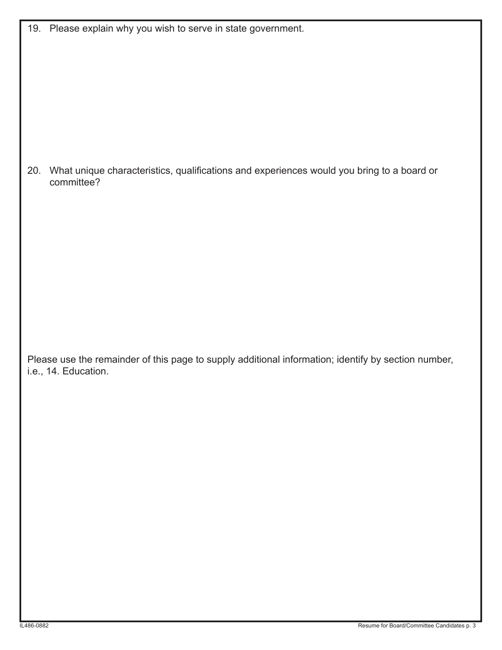|  |  |  |  |  |  |  | 19. Please explain why you wish to serve in state government. |
|--|--|--|--|--|--|--|---------------------------------------------------------------|
|--|--|--|--|--|--|--|---------------------------------------------------------------|

20. What unique characteristics, qualifications and experiences would you bring to a board or committee?

Please use the remainder of this page to supply additional information; identify by section number, i.e., 14. Education.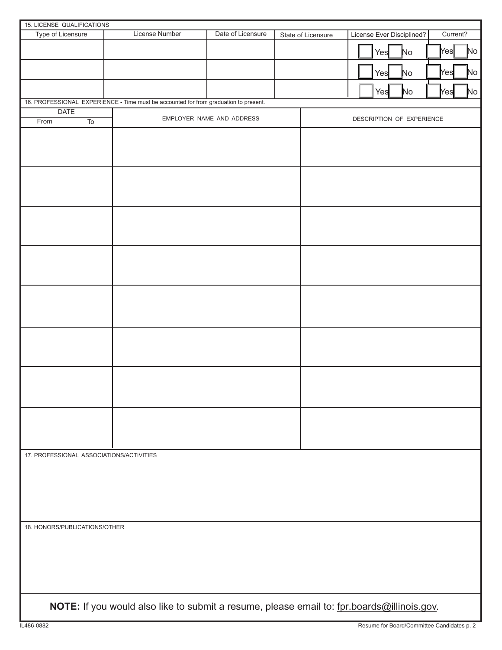| 15. LICENSE QUALIFICATIONS                                                                 |                 |                                                                                      |                           |  |                    |                                       |
|--------------------------------------------------------------------------------------------|-----------------|--------------------------------------------------------------------------------------|---------------------------|--|--------------------|---------------------------------------|
| Type of Licensure                                                                          |                 | <b>License Number</b>                                                                | Date of Licensure         |  | State of Licensure | License Ever Disciplined?<br>Current? |
|                                                                                            |                 |                                                                                      |                           |  |                    | No<br>No<br>Yesl<br>Yes               |
|                                                                                            |                 |                                                                                      |                           |  |                    | No<br>No<br>Yes<br>Yes                |
|                                                                                            |                 |                                                                                      |                           |  |                    | $\mathsf{No}$<br>No<br>Yes<br>Yes     |
|                                                                                            |                 | 16. PROFESSIONAL EXPERIENCE - Time must be accounted for from graduation to present. |                           |  |                    |                                       |
| <b>DATE</b>                                                                                |                 |                                                                                      |                           |  |                    |                                       |
| From                                                                                       | $\overline{10}$ |                                                                                      | EMPLOYER NAME AND ADDRESS |  |                    | DESCRIPTION OF EXPERIENCE             |
|                                                                                            |                 |                                                                                      |                           |  |                    |                                       |
|                                                                                            |                 |                                                                                      |                           |  |                    |                                       |
|                                                                                            |                 |                                                                                      |                           |  |                    |                                       |
|                                                                                            |                 |                                                                                      |                           |  |                    |                                       |
|                                                                                            |                 |                                                                                      |                           |  |                    |                                       |
|                                                                                            |                 |                                                                                      |                           |  |                    |                                       |
|                                                                                            |                 |                                                                                      |                           |  |                    |                                       |
|                                                                                            |                 |                                                                                      |                           |  |                    |                                       |
|                                                                                            |                 |                                                                                      |                           |  |                    |                                       |
|                                                                                            |                 |                                                                                      |                           |  |                    |                                       |
|                                                                                            |                 |                                                                                      |                           |  |                    |                                       |
|                                                                                            |                 |                                                                                      |                           |  |                    |                                       |
|                                                                                            |                 |                                                                                      |                           |  |                    |                                       |
|                                                                                            |                 |                                                                                      |                           |  |                    |                                       |
|                                                                                            |                 |                                                                                      |                           |  |                    |                                       |
|                                                                                            |                 |                                                                                      |                           |  |                    |                                       |
|                                                                                            |                 |                                                                                      |                           |  |                    |                                       |
| 17. PROFESSIONAL ASSOCIATIONS/ACTIVITIES                                                   |                 |                                                                                      |                           |  |                    |                                       |
|                                                                                            |                 |                                                                                      |                           |  |                    |                                       |
|                                                                                            |                 |                                                                                      |                           |  |                    |                                       |
|                                                                                            |                 |                                                                                      |                           |  |                    |                                       |
| 18. HONORS/PUBLICATIONS/OTHER                                                              |                 |                                                                                      |                           |  |                    |                                       |
|                                                                                            |                 |                                                                                      |                           |  |                    |                                       |
|                                                                                            |                 |                                                                                      |                           |  |                    |                                       |
|                                                                                            |                 |                                                                                      |                           |  |                    |                                       |
| NOTE: If you would also like to submit a resume, please email to: fpr.boards@illinois.gov. |                 |                                                                                      |                           |  |                    |                                       |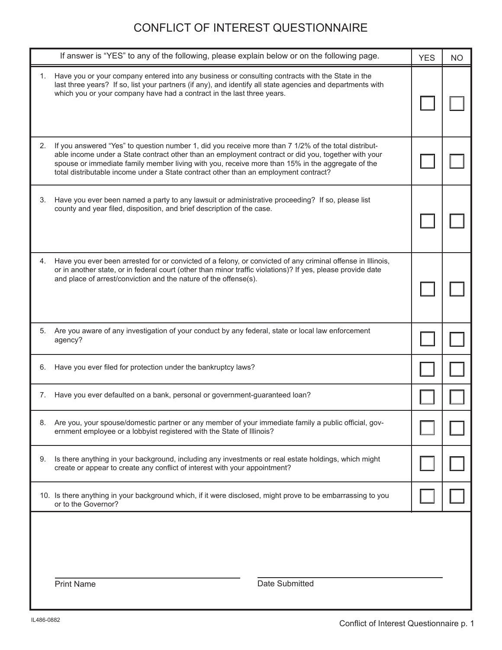### CONFLICT OF INTEREST QUESTIONNAIRE

|    | If answer is "YES" to any of the following, please explain below or on the following page.                                                                                                                                                                                                                                                                                                              | <b>YES</b> | <b>NO</b> |  |
|----|---------------------------------------------------------------------------------------------------------------------------------------------------------------------------------------------------------------------------------------------------------------------------------------------------------------------------------------------------------------------------------------------------------|------------|-----------|--|
| 1. | Have you or your company entered into any business or consulting contracts with the State in the<br>last three years? If so, list your partners (if any), and identify all state agencies and departments with<br>which you or your company have had a contract in the last three years.                                                                                                                |            |           |  |
| 2. | If you answered "Yes" to question number 1, did you receive more than 7 1/2% of the total distribut-<br>able income under a State contract other than an employment contract or did you, together with your<br>spouse or immediate family member living with you, receive more than 15% in the aggregate of the<br>total distributable income under a State contract other than an employment contract? |            |           |  |
| 3. | Have you ever been named a party to any lawsuit or administrative proceeding? If so, please list<br>county and year filed, disposition, and brief description of the case.                                                                                                                                                                                                                              |            |           |  |
| 4. | Have you ever been arrested for or convicted of a felony, or convicted of any criminal offense in Illinois,<br>or in another state, or in federal court (other than minor traffic violations)? If yes, please provide date<br>and place of arrest/conviction and the nature of the offense(s).                                                                                                          |            |           |  |
| 5. | Are you aware of any investigation of your conduct by any federal, state or local law enforcement<br>agency?                                                                                                                                                                                                                                                                                            |            |           |  |
| 6. | Have you ever filed for protection under the bankruptcy laws?                                                                                                                                                                                                                                                                                                                                           |            |           |  |
| 7. | Have you ever defaulted on a bank, personal or government-guaranteed loan?                                                                                                                                                                                                                                                                                                                              |            |           |  |
| 8. | Are you, your spouse/domestic partner or any member of your immediate family a public official, gov-<br>ernment employee or a lobbyist registered with the State of Illinois?                                                                                                                                                                                                                           |            |           |  |
| 9. | Is there anything in your background, including any investments or real estate holdings, which might<br>create or appear to create any conflict of interest with your appointment?                                                                                                                                                                                                                      |            |           |  |
|    | 10. Is there anything in your background which, if it were disclosed, might prove to be embarrassing to you<br>or to the Governor?                                                                                                                                                                                                                                                                      |            |           |  |
|    | <b>Print Name</b><br>Date Submitted                                                                                                                                                                                                                                                                                                                                                                     |            |           |  |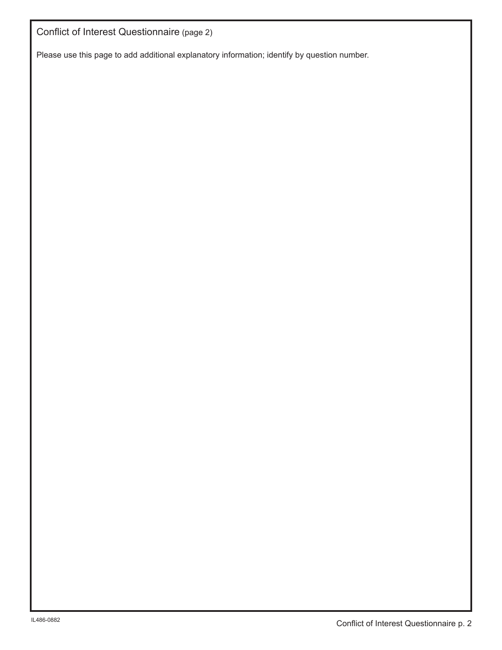Conflict of Interest Questionnaire (page 2)

Please use this page to add additional explanatory information; identify by question number.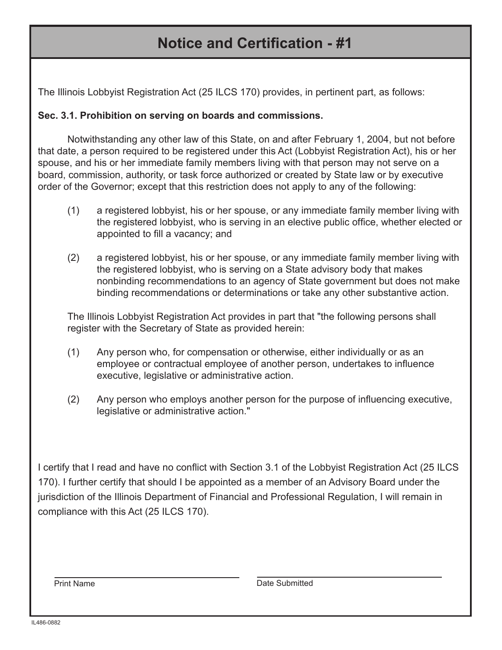## **Notice and Certification - #1**

The Illinois Lobbyist Registration Act (25 ILCS 170) provides, in pertinent part, as follows:

### **Sec. 3.1. Prohibition on serving on boards and commissions.**

Notwithstanding any other law of this State, on and after February 1, 2004, but not before that date, a person required to be registered under this Act (Lobbyist Registration Act), his or her spouse, and his or her immediate family members living with that person may not serve on a board, commission, authority, or task force authorized or created by State law or by executive order of the Governor; except that this restriction does not apply to any of the following:

- (1) a registered lobbyist, his or her spouse, or any immediate family member living with the registered lobbyist, who is serving in an elective public office, whether elected or appointed to fill a vacancy; and
- (2) a registered lobbyist, his or her spouse, or any immediate family member living with the registered lobbyist, who is serving on a State advisory body that makes nonbinding recommendations to an agency of State government but does not make binding recommendations or determinations or take any other substantive action.

The Illinois Lobbyist Registration Act provides in part that "the following persons shall register with the Secretary of State as provided herein:

- (1) Any person who, for compensation or otherwise, either individually or as an employee or contractual employee of another person, undertakes to influence executive, legislative or administrative action.
- (2) Any person who employs another person for the purpose of influencing executive, legislative or administrative action."

I certify that I read and have no conflict with Section 3.1 of the Lobbyist Registration Act (25 ILCS 170). I further certify that should I be appointed as a member of an Advisory Board under the jurisdiction of the Illinois Department of Financial and Professional Regulation, I will remain in compliance with this Act (25 ILCS 170).

Print Name Date Submitted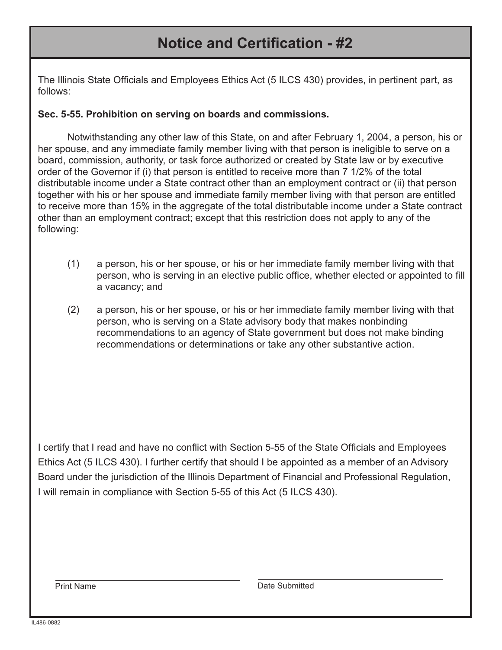## **Notice and Certification - #2**

The Illinois State Officials and Employees Ethics Act (5 ILCS 430) provides, in pertinent part, as follows:

#### **Sec. 5-55. Prohibition on serving on boards and commissions.**

Notwithstanding any other law of this State, on and after February 1, 2004, a person, his or her spouse, and any immediate family member living with that person is ineligible to serve on a board, commission, authority, or task force authorized or created by State law or by executive order of the Governor if (i) that person is entitled to receive more than 7 1/2% of the total distributable income under a State contract other than an employment contract or (ii) that person together with his or her spouse and immediate family member living with that person are entitled to receive more than 15% in the aggregate of the total distributable income under a State contract other than an employment contract; except that this restriction does not apply to any of the following:

- (1) a person, his or her spouse, or his or her immediate family member living with that person, who is serving in an elective public office, whether elected or appointed to fill a vacancy; and
- (2) a person, his or her spouse, or his or her immediate family member living with that person, who is serving on a State advisory body that makes nonbinding recommendations to an agency of State government but does not make binding recommendations or determinations or take any other substantive action.

I certify that I read and have no conflict with Section 5-55 of the State Officials and Employees Ethics Act (5 ILCS 430). I further certify that should I be appointed as a member of an Advisory Board under the jurisdiction of the Illinois Department of Financial and Professional Regulation, I will remain in compliance with Section 5-55 of this Act (5 ILCS 430).

Print Name **Date Submitted**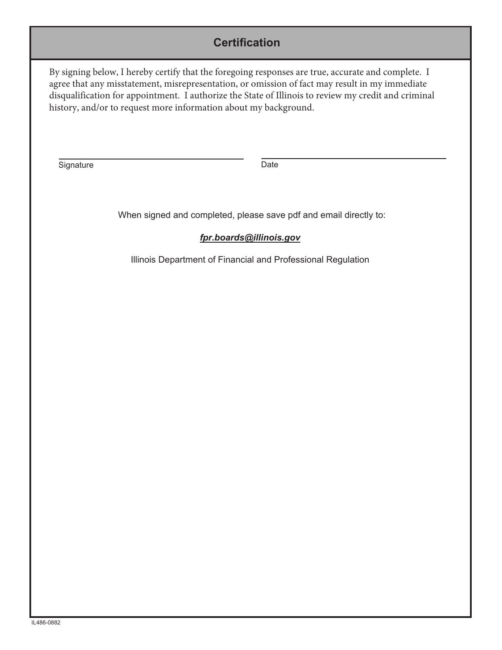### **Certification**

By signing below, I hereby certify that the foregoing responses are true, accurate and complete. I agree that any misstatement, misrepresentation, or omission of fact may result in my immediate disqualification for appointment. I authorize the State of Illinois to review my credit and criminal history, and/or to request more information about my background.

Signature Date Date

When signed and completed, please save pdf and email directly to:

#### *fpr.boards@illinois.gov*

Illinois Department of Financial and Professional Regulation